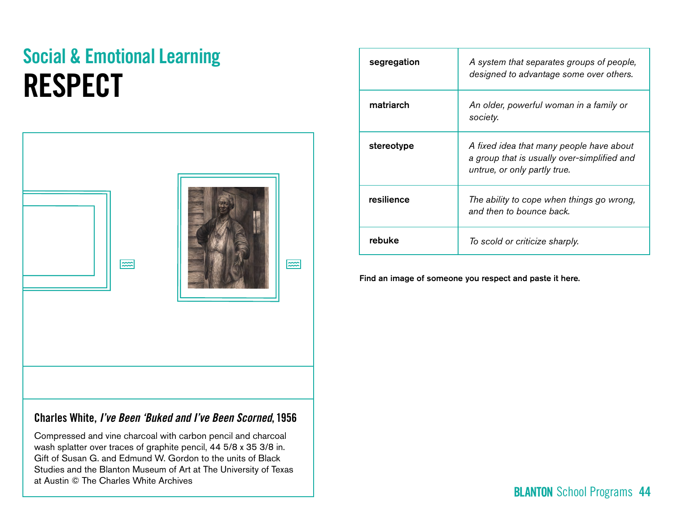# Social & Emotional Learning **RESPECT**

| $\overline{\phantom{1}}$ | $\approx$ |
|--------------------------|-----------|
|                          |           |

# Charles White, *I've Been 'Buked and I've Been Scorned*, 1956

Compressed and vine charcoal with carbon pencil and charcoal wash splatter over traces of graphite pencil, 44 5/8 x 35 3/8 in. Gift of Susan G. and Edmund W. Gordon to the units of Black Studies and the Blanton Museum of Art at The University of Texas at Austin © The Charles White Archives

| segregation | A system that separates groups of people,<br>designed to advantage some over others.                                    |  |
|-------------|-------------------------------------------------------------------------------------------------------------------------|--|
| matriarch   | An older, powerful woman in a family or<br>society.                                                                     |  |
| stereotype  | A fixed idea that many people have about<br>a group that is usually over-simplified and<br>untrue, or only partly true. |  |
| resilience  | The ability to cope when things go wrong,<br>and then to bounce back.                                                   |  |
| rebuke      | To scold or criticize sharply.                                                                                          |  |

Find an image of someone you respect and paste it here.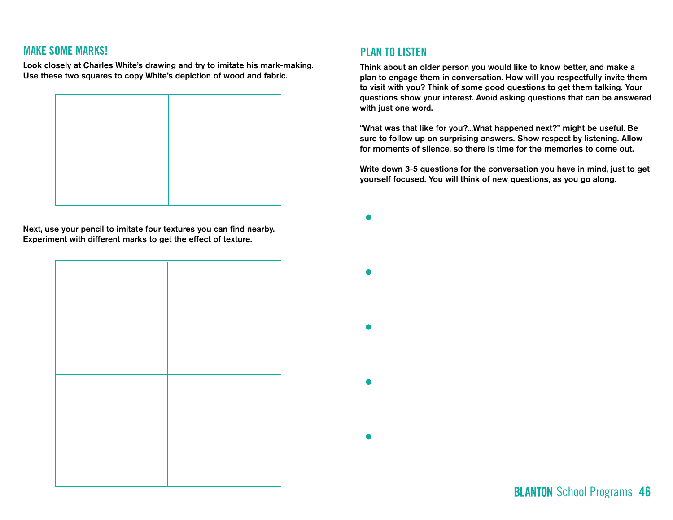## MAKE SOME MARKS!

Look closely at Charles White's drawing and try to imitate his mark-making. Use these two squares to copy White's depiction of wood and fabric.



Next, use your pencil to imitate four textures you can find nearby. Experiment with different marks to get the effect of texture.

## PLAN TO LISTEN

Think about an older person you would like to know better, and make a plan to engage them in conversation. How will you respectfully invite them to visit with you? Think of some good questions to get them talking. Your questions show your interest. Avoid asking questions that can be answered with just one word.

"What was that like for you?...What happened next?" might be useful. Be sure to follow up on surprising answers. Show respect by listening. Allow for moments of silence, so there is time for the memories to come out.

Write down 3-5 questions for the conversation you have in mind, just to get yourself focused. You will think of new questions, as you go along.

**BLANTON** School Programs 46



 $\bullet$ 

 $\bullet$